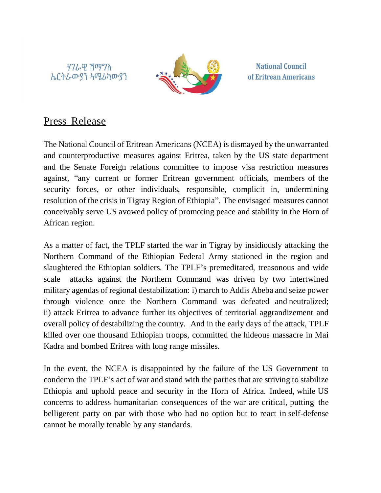ሃገራዊ ሽማግለ *ኤ*ርትራውያን አሜሪካውያን



**National Council** of Eritrean Americans

## Press Release

The National Council of Eritrean Americans (NCEA) is dismayed by the unwarranted and counterproductive measures against Eritrea, taken by the US state department and the Senate Foreign relations committee to impose visa restriction measures against, "any current or former Eritrean government officials, members of the security forces, or other individuals, responsible, complicit in, undermining resolution of the crisis in Tigray Region of Ethiopia". The envisaged measures cannot conceivably serve US avowed policy of promoting peace and stability in the Horn of African region.

As a matter of fact, the TPLF started the war in Tigray by insidiously attacking the Northern Command of the Ethiopian Federal Army stationed in the region and slaughtered the Ethiopian soldiers. The TPLF's premeditated, treasonous and wide scale attacks against the Northern Command was driven by two intertwined military agendas of regional destabilization: i) march to Addis Abeba and seize power through violence once the Northern Command was defeated and neutralized; ii) attack Eritrea to advance further its objectives of territorial aggrandizement and overall policy of destabilizing the country. And in the early days of the attack, TPLF killed over one thousand Ethiopian troops, committed the hideous massacre in Mai Kadra and bombed Eritrea with long range missiles.

In the event, the NCEA is disappointed by the failure of the US Government to condemn the TPLF's act of war and stand with the parties that are striving to stabilize Ethiopia and uphold peace and security in the Horn of Africa. Indeed, while US concerns to address humanitarian consequences of the war are critical, putting the belligerent party on par with those who had no option but to react in self-defense cannot be morally tenable by any standards.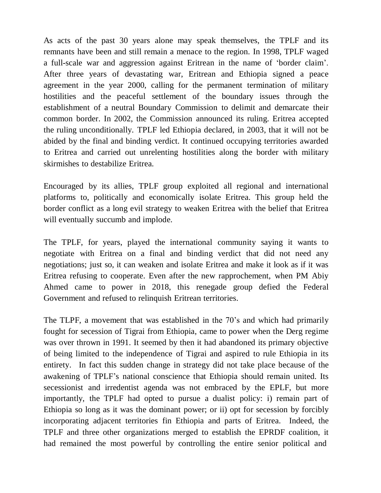As acts of the past 30 years alone may speak themselves, the TPLF and its remnants have been and still remain a menace to the region. In 1998, TPLF waged a full-scale war and aggression against Eritrean in the name of 'border claim'. After three years of devastating war, Eritrean and Ethiopia signed a peace agreement in the year 2000, calling for the permanent termination of military hostilities and the peaceful settlement of the boundary issues through the establishment of a neutral Boundary Commission to delimit and demarcate their common border. In 2002, the Commission announced its ruling. Eritrea accepted the ruling unconditionally. TPLF led Ethiopia declared, in 2003, that it will not be abided by the final and binding verdict. It continued occupying territories awarded to Eritrea and carried out unrelenting hostilities along the border with military skirmishes to destabilize Eritrea.

Encouraged by its allies, TPLF group exploited all regional and international platforms to, politically and economically isolate Eritrea. This group held the border conflict as a long evil strategy to weaken Eritrea with the belief that Eritrea will eventually succumb and implode.

The TPLF, for years, played the international community saying it wants to negotiate with Eritrea on a final and binding verdict that did not need any negotiations; just so, it can weaken and isolate Eritrea and make it look as if it was Eritrea refusing to cooperate. Even after the new rapprochement, when PM Abiy Ahmed came to power in 2018, this renegade group defied the Federal Government and refused to relinquish Eritrean territories.

The TLPF, a movement that was established in the 70's and which had primarily fought for secession of Tigrai from Ethiopia, came to power when the Derg regime was over thrown in 1991. It seemed by then it had abandoned its primary objective of being limited to the independence of Tigrai and aspired to rule Ethiopia in its entirety. In fact this sudden change in strategy did not take place because of the awakening of TPLF's national conscience that Ethiopia should remain united. Its secessionist and irredentist agenda was not embraced by the EPLF, but more importantly, the TPLF had opted to pursue a dualist policy: i) remain part of Ethiopia so long as it was the dominant power; or ii) opt for secession by forcibly incorporating adjacent territories fin Ethiopia and parts of Eritrea. Indeed, the TPLF and three other organizations merged to establish the EPRDF coalition, it had remained the most powerful by controlling the entire senior political and